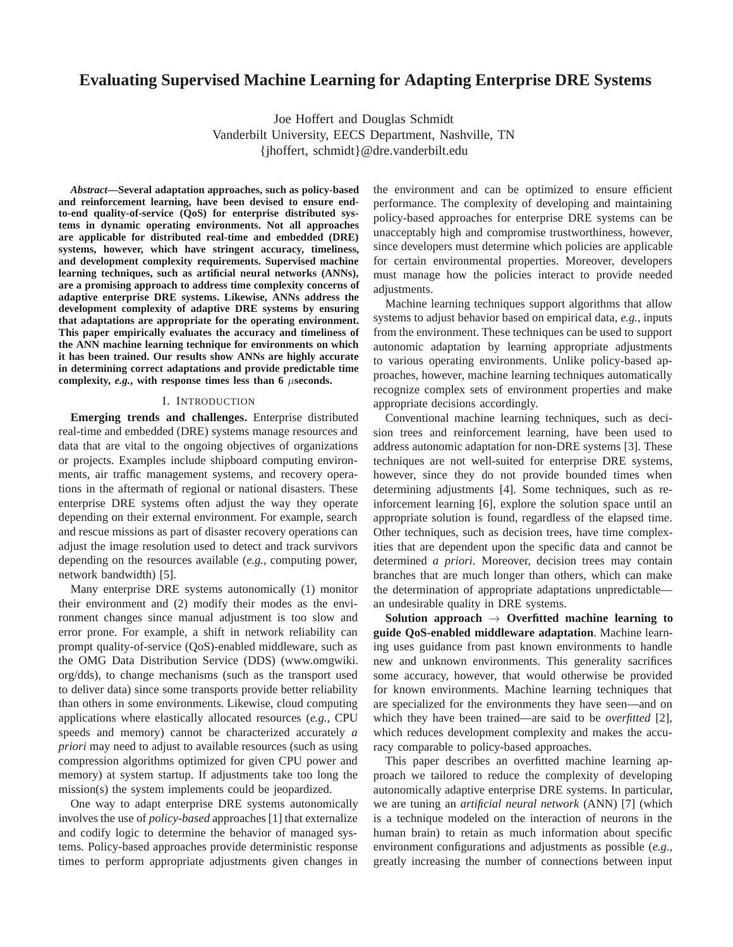# **Evaluating Supervised Machine Learning for Adapting Enterprise DRE Systems**

Joe Hoffert and Douglas Schmidt Vanderbilt University, EECS Department, Nashville, TN {jhoffert, schmidt}@dre.vanderbilt.edu

*Abstract***—Several adaptation approaches, such as policy-based and reinforcement learning, have been devised to ensure endto-end quality-of-service (QoS) for enterprise distributed systems in dynamic operating environments. Not all approaches are applicable for distributed real-time and embedded (DRE) systems, however, which have stringent accuracy, timeliness, and development complexity requirements. Supervised machine learning techniques, such as artificial neural networks (ANNs), are a promising approach to address time complexity concerns of adaptive enterprise DRE systems. Likewise, ANNs address the development complexity of adaptive DRE systems by ensuring that adaptations are appropriate for the operating environment. This paper empirically evaluates the accuracy and timeliness of the ANN machine learning technique for environments on which it has been trained. Our results show ANNs are highly accurate in determining correct adaptations and provide predictable time complexity,** *e.g.***, with response times less than 6** *µ***seconds.**

## I. INTRODUCTION

**Emerging trends and challenges.** Enterprise distributed real-time and embedded (DRE) systems manage resources and data that are vital to the ongoing objectives of organizations or projects. Examples include shipboard computing environments, air traffic management systems, and recovery operations in the aftermath of regional or national disasters. These enterprise DRE systems often adjust the way they operate depending on their external environment. For example, search and rescue missions as part of disaster recovery operations can adjust the image resolution used to detect and track survivors depending on the resources available (*e.g.*, computing power, network bandwidth) [5].

Many enterprise DRE systems autonomically (1) monitor their environment and (2) modify their modes as the environment changes since manual adjustment is too slow and error prone. For example, a shift in network reliability can prompt quality-of-service (QoS)-enabled middleware, such as the OMG Data Distribution Service (DDS) (www.omgwiki. org/dds), to change mechanisms (such as the transport used to deliver data) since some transports provide better reliability than others in some environments. Likewise, cloud computing applications where elastically allocated resources (*e.g.*, CPU speeds and memory) cannot be characterized accurately *a priori* may need to adjust to available resources (such as using compression algorithms optimized for given CPU power and memory) at system startup. If adjustments take too long the mission(s) the system implements could be jeopardized.

One way to adapt enterprise DRE systems autonomically involves the use of *policy-based* approaches [1] that externalize and codify logic to determine the behavior of managed systems. Policy-based approaches provide deterministic response times to perform appropriate adjustments given changes in

the environment and can be optimized to ensure efficient performance. The complexity of developing and maintaining policy-based approaches for enterprise DRE systems can be unacceptably high and compromise trustworthiness, however, since developers must determine which policies are applicable for certain environmental properties. Moreover, developers must manage how the policies interact to provide needed adjustments.

Machine learning techniques support algorithms that allow systems to adjust behavior based on empirical data, *e.g.*, inputs from the environment. These techniques can be used to support autonomic adaptation by learning appropriate adjustments to various operating environments. Unlike policy-based approaches, however, machine learning techniques automatically recognize complex sets of environment properties and make appropriate decisions accordingly.

Conventional machine learning techniques, such as decision trees and reinforcement learning, have been used to address autonomic adaptation for non-DRE systems [3]. These techniques are not well-suited for enterprise DRE systems, however, since they do not provide bounded times when determining adjustments [4]. Some techniques, such as reinforcement learning [6], explore the solution space until an appropriate solution is found, regardless of the elapsed time. Other techniques, such as decision trees, have time complexities that are dependent upon the specific data and cannot be determined *a priori*. Moreover, decision trees may contain branches that are much longer than others, which can make the determination of appropriate adaptations unpredictable an undesirable quality in DRE systems.

**Solution approach** → **Overfitted machine learning to guide QoS-enabled middleware adaptation**. Machine learning uses guidance from past known environments to handle new and unknown environments. This generality sacrifices some accuracy, however, that would otherwise be provided for known environments. Machine learning techniques that are specialized for the environments they have seen—and on which they have been trained—are said to be *overfitted* [2], which reduces development complexity and makes the accuracy comparable to policy-based approaches.

This paper describes an overfitted machine learning approach we tailored to reduce the complexity of developing autonomically adaptive enterprise DRE systems. In particular, we are tuning an *artificial neural network* (ANN) [7] (which is a technique modeled on the interaction of neurons in the human brain) to retain as much information about specific environment configurations and adjustments as possible (*e.g.*, greatly increasing the number of connections between input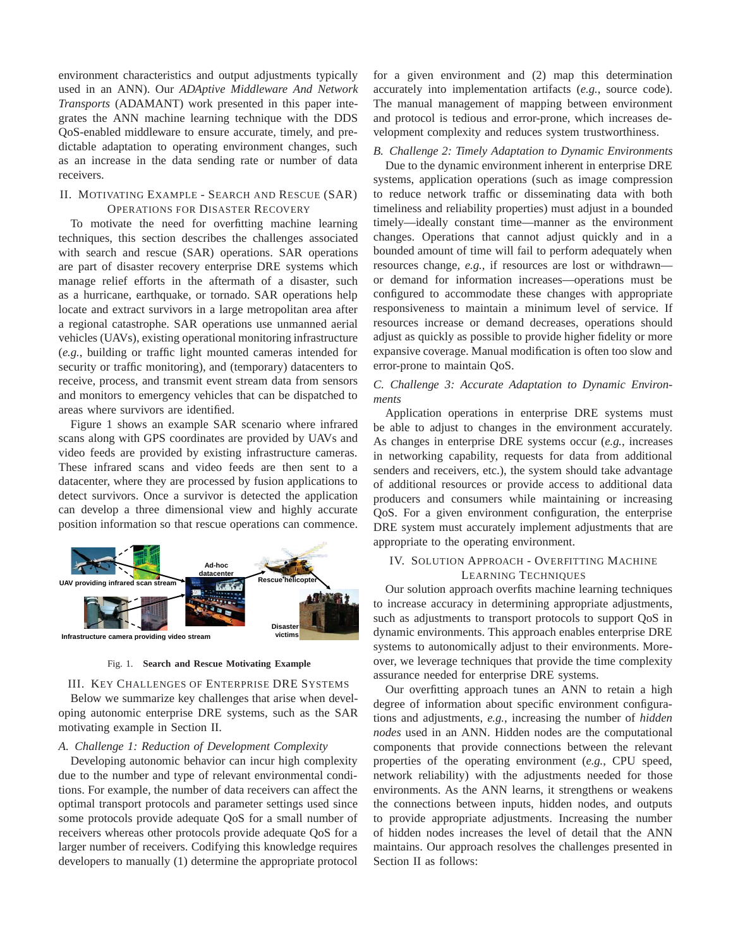environment characteristics and output adjustments typically used in an ANN). Our *ADAptive Middleware And Network Transports* (ADAMANT) work presented in this paper integrates the ANN machine learning technique with the DDS QoS-enabled middleware to ensure accurate, timely, and predictable adaptation to operating environment changes, such as an increase in the data sending rate or number of data receivers.

# II. MOTIVATING EXAMPLE - SEARCH AND RESCUE (SAR) OPERATIONS FOR DISASTER RECOVERY

To motivate the need for overfitting machine learning techniques, this section describes the challenges associated with search and rescue (SAR) operations. SAR operations are part of disaster recovery enterprise DRE systems which manage relief efforts in the aftermath of a disaster, such as a hurricane, earthquake, or tornado. SAR operations help locate and extract survivors in a large metropolitan area after a regional catastrophe. SAR operations use unmanned aerial vehicles (UAVs), existing operational monitoring infrastructure (*e.g.*, building or traffic light mounted cameras intended for security or traffic monitoring), and (temporary) datacenters to receive, process, and transmit event stream data from sensors and monitors to emergency vehicles that can be dispatched to areas where survivors are identified.

Figure 1 shows an example SAR scenario where infrared scans along with GPS coordinates are provided by UAVs and video feeds are provided by existing infrastructure cameras. These infrared scans and video feeds are then sent to a datacenter, where they are processed by fusion applications to detect survivors. Once a survivor is detected the application can develop a three dimensional view and highly accurate position information so that rescue operations can commence.



Fig. 1. **Search and Rescue Motivating Example**

#### III. KEY CHALLENGES OF ENTERPRISE DRE SYSTEMS

Below we summarize key challenges that arise when developing autonomic enterprise DRE systems, such as the SAR motivating example in Section II.

## *A. Challenge 1: Reduction of Development Complexity*

Developing autonomic behavior can incur high complexity due to the number and type of relevant environmental conditions. For example, the number of data receivers can affect the optimal transport protocols and parameter settings used since some protocols provide adequate QoS for a small number of receivers whereas other protocols provide adequate QoS for a larger number of receivers. Codifying this knowledge requires developers to manually (1) determine the appropriate protocol

for a given environment and (2) map this determination accurately into implementation artifacts (*e.g.*, source code). The manual management of mapping between environment and protocol is tedious and error-prone, which increases development complexity and reduces system trustworthiness.

## *B. Challenge 2: Timely Adaptation to Dynamic Environments*

Due to the dynamic environment inherent in enterprise DRE systems, application operations (such as image compression to reduce network traffic or disseminating data with both timeliness and reliability properties) must adjust in a bounded timely—ideally constant time—manner as the environment changes. Operations that cannot adjust quickly and in a bounded amount of time will fail to perform adequately when resources change, *e.g.*, if resources are lost or withdrawn or demand for information increases—operations must be configured to accommodate these changes with appropriate responsiveness to maintain a minimum level of service. If resources increase or demand decreases, operations should adjust as quickly as possible to provide higher fidelity or more expansive coverage. Manual modification is often too slow and error-prone to maintain QoS.

# *C. Challenge 3: Accurate Adaptation to Dynamic Environments*

Application operations in enterprise DRE systems must be able to adjust to changes in the environment accurately. As changes in enterprise DRE systems occur (*e.g.*, increases in networking capability, requests for data from additional senders and receivers, etc.), the system should take advantage of additional resources or provide access to additional data producers and consumers while maintaining or increasing QoS. For a given environment configuration, the enterprise DRE system must accurately implement adjustments that are appropriate to the operating environment.

# IV. SOLUTION APPROACH - OVERFITTING MACHINE LEARNING TECHNIQUES

Our solution approach overfits machine learning techniques to increase accuracy in determining appropriate adjustments, such as adjustments to transport protocols to support QoS in dynamic environments. This approach enables enterprise DRE systems to autonomically adjust to their environments. Moreover, we leverage techniques that provide the time complexity assurance needed for enterprise DRE systems.

Our overfitting approach tunes an ANN to retain a high degree of information about specific environment configurations and adjustments, *e.g.*, increasing the number of *hidden nodes* used in an ANN. Hidden nodes are the computational components that provide connections between the relevant properties of the operating environment (*e.g.*, CPU speed, network reliability) with the adjustments needed for those environments. As the ANN learns, it strengthens or weakens the connections between inputs, hidden nodes, and outputs to provide appropriate adjustments. Increasing the number of hidden nodes increases the level of detail that the ANN maintains. Our approach resolves the challenges presented in Section II as follows: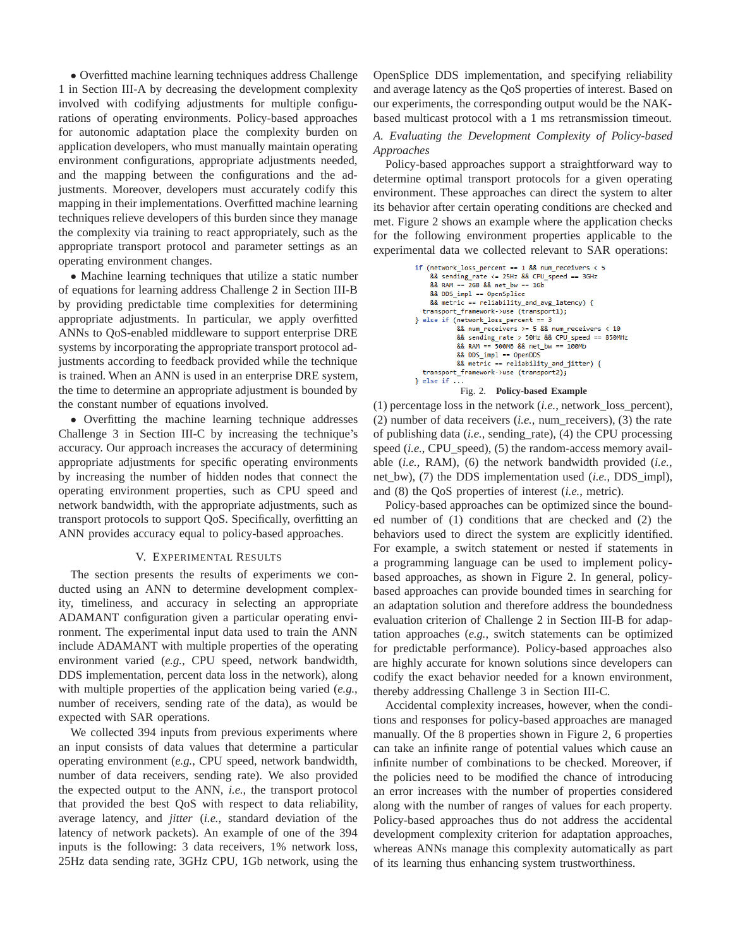• Overfitted machine learning techniques address Challenge 1 in Section III-A by decreasing the development complexity involved with codifying adjustments for multiple configurations of operating environments. Policy-based approaches for autonomic adaptation place the complexity burden on application developers, who must manually maintain operating environment configurations, appropriate adjustments needed, and the mapping between the configurations and the adjustments. Moreover, developers must accurately codify this mapping in their implementations. Overfitted machine learning techniques relieve developers of this burden since they manage the complexity via training to react appropriately, such as the appropriate transport protocol and parameter settings as an operating environment changes.

• Machine learning techniques that utilize a static number of equations for learning address Challenge 2 in Section III-B by providing predictable time complexities for determining appropriate adjustments. In particular, we apply overfitted ANNs to QoS-enabled middleware to support enterprise DRE systems by incorporating the appropriate transport protocol adjustments according to feedback provided while the technique is trained. When an ANN is used in an enterprise DRE system, the time to determine an appropriate adjustment is bounded by the constant number of equations involved.

• Overfitting the machine learning technique addresses Challenge 3 in Section III-C by increasing the technique's accuracy. Our approach increases the accuracy of determining appropriate adjustments for specific operating environments by increasing the number of hidden nodes that connect the operating environment properties, such as CPU speed and network bandwidth, with the appropriate adjustments, such as transport protocols to support QoS. Specifically, overfitting an ANN provides accuracy equal to policy-based approaches.

## V. EXPERIMENTAL RESULTS

The section presents the results of experiments we conducted using an ANN to determine development complexity, timeliness, and accuracy in selecting an appropriate ADAMANT configuration given a particular operating environment. The experimental input data used to train the ANN include ADAMANT with multiple properties of the operating environment varied (*e.g.*, CPU speed, network bandwidth, DDS implementation, percent data loss in the network), along with multiple properties of the application being varied (*e.g.*, number of receivers, sending rate of the data), as would be expected with SAR operations.

We collected 394 inputs from previous experiments where an input consists of data values that determine a particular operating environment (*e.g.*, CPU speed, network bandwidth, number of data receivers, sending rate). We also provided the expected output to the ANN, *i.e.*, the transport protocol that provided the best QoS with respect to data reliability, average latency, and *jitter* (*i.e.*, standard deviation of the latency of network packets). An example of one of the 394 inputs is the following: 3 data receivers, 1% network loss, 25Hz data sending rate, 3GHz CPU, 1Gb network, using the OpenSplice DDS implementation, and specifying reliability and average latency as the QoS properties of interest. Based on our experiments, the corresponding output would be the NAKbased multicast protocol with a 1 ms retransmission timeout.

# *A. Evaluating the Development Complexity of Policy-based Approaches*

Policy-based approaches support a straightforward way to determine optimal transport protocols for a given operating environment. These approaches can direct the system to alter its behavior after certain operating conditions are checked and met. Figure 2 shows an example where the application checks for the following environment properties applicable to the experimental data we collected relevant to SAR operations:

```
if (network_loss_percent == 1 && num_receivers < 5&& sending_rate <= 25Hz && CPU_speed == 3GHz
    88 RAM == 2GB 88 net_bw == 1Gb
    && DDS_impl == OpenSplice
    && metric == reliability_and_avg_latency) {
  transport_framework->use (transport1);
} else if (network loss percent == 3
           && num_receivers >= 5 && num_receivers < 10&& sending_rate > 50Hz && CPU_speed == 850MHz
           && RAM == 500MB && net_bw == 100Mb
           88 DDS impl == OpenDDS
           && metric == reliability_and_jitter) {
  transport_framework->use (transport2);
\} else if ..
            Fig. 2. Policy-based Example
```
(1) percentage loss in the network (*i.e.*, network\_loss\_percent), (2) number of data receivers (*i.e.*, num\_receivers), (3) the rate of publishing data (*i.e.*, sending\_rate), (4) the CPU processing speed (*i.e.*, CPU speed), (5) the random-access memory available (*i.e.*, RAM), (6) the network bandwidth provided (*i.e.*, net bw), (7) the DDS implementation used (*i.e.*, DDS impl), and (8) the QoS properties of interest (*i.e.*, metric).

Policy-based approaches can be optimized since the bounded number of (1) conditions that are checked and (2) the behaviors used to direct the system are explicitly identified. For example, a switch statement or nested if statements in a programming language can be used to implement policybased approaches, as shown in Figure 2. In general, policybased approaches can provide bounded times in searching for an adaptation solution and therefore address the boundedness evaluation criterion of Challenge 2 in Section III-B for adaptation approaches (*e.g.*, switch statements can be optimized for predictable performance). Policy-based approaches also are highly accurate for known solutions since developers can codify the exact behavior needed for a known environment, thereby addressing Challenge 3 in Section III-C.

Accidental complexity increases, however, when the conditions and responses for policy-based approaches are managed manually. Of the 8 properties shown in Figure 2, 6 properties can take an infinite range of potential values which cause an infinite number of combinations to be checked. Moreover, if the policies need to be modified the chance of introducing an error increases with the number of properties considered along with the number of ranges of values for each property. Policy-based approaches thus do not address the accidental development complexity criterion for adaptation approaches, whereas ANNs manage this complexity automatically as part of its learning thus enhancing system trustworthiness.